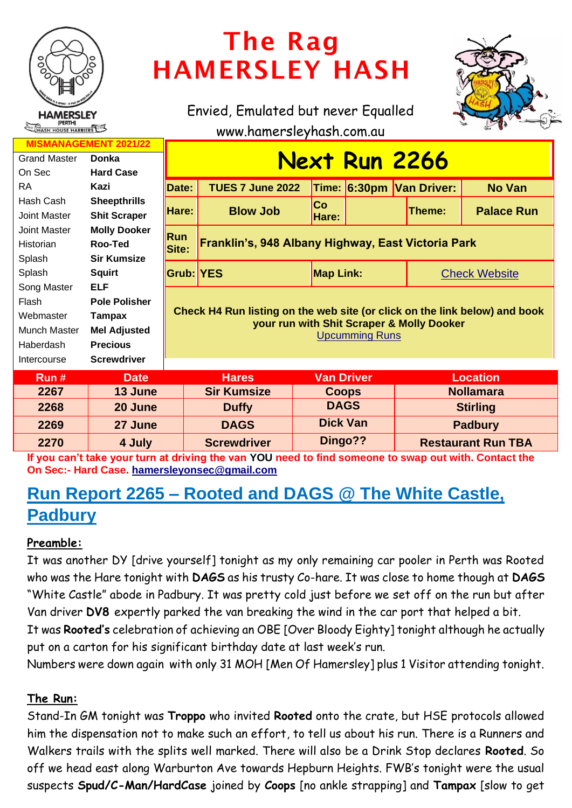

# The Rag HAMERSLEY HASH

Envied, Emulated but never Equalled www.hamersleyhash.com.au



| <b>MISMANAGEMENT 2021/22</b> |                      |                                                                                                                                                  |                         |                   |  |                          |                      |  |
|------------------------------|----------------------|--------------------------------------------------------------------------------------------------------------------------------------------------|-------------------------|-------------------|--|--------------------------|----------------------|--|
| <b>Grand Master</b>          | Donka                | <b>Next Run 2266</b>                                                                                                                             |                         |                   |  |                          |                      |  |
| On Sec                       | <b>Hard Case</b>     |                                                                                                                                                  |                         |                   |  |                          |                      |  |
| <b>RA</b>                    | Kazi                 | Date:                                                                                                                                            | <b>TUES 7 June 2022</b> |                   |  | Time: 6:30pm Van Driver: | <b>No Van</b>        |  |
| Hash Cash                    | <b>Sheepthrills</b>  |                                                                                                                                                  |                         | <b>Co</b>         |  |                          |                      |  |
| Joint Master                 | <b>Shit Scraper</b>  | Hare:                                                                                                                                            | <b>Blow Job</b>         | Hare:             |  | Theme:                   | <b>Palace Run</b>    |  |
| Joint Master                 | <b>Molly Dooker</b>  | <b>Run</b><br>Franklin's, 948 Albany Highway, East Victoria Park<br>Site:                                                                        |                         |                   |  |                          |                      |  |
| Historian                    | Roo-Ted              |                                                                                                                                                  |                         |                   |  |                          |                      |  |
| Splash                       | <b>Sir Kumsize</b>   |                                                                                                                                                  |                         |                   |  |                          |                      |  |
| Splash                       | <b>Squirt</b>        | <b>Grub: YES</b>                                                                                                                                 |                         | <b>Map Link:</b>  |  |                          | <b>Check Website</b> |  |
| Song Master                  | <b>ELF</b>           | Check H4 Run listing on the web site (or click on the link below) and book<br>your run with Shit Scraper & Molly Dooker<br><b>Upcumming Runs</b> |                         |                   |  |                          |                      |  |
| Flash                        | <b>Pole Polisher</b> |                                                                                                                                                  |                         |                   |  |                          |                      |  |
| Webmaster                    | Tampax               |                                                                                                                                                  |                         |                   |  |                          |                      |  |
| Munch Master                 | <b>Mel Adjusted</b>  |                                                                                                                                                  |                         |                   |  |                          |                      |  |
| Haberdash                    | <b>Precious</b>      |                                                                                                                                                  |                         |                   |  |                          |                      |  |
| Intercourse                  | <b>Screwdriver</b>   |                                                                                                                                                  |                         |                   |  |                          |                      |  |
| Run#                         | <b>Date</b>          |                                                                                                                                                  | <b>Hares</b>            | <b>Van Driver</b> |  |                          | <b>Location</b>      |  |
| 2267                         | 13 June              |                                                                                                                                                  | <b>Sir Kumsize</b>      | <b>Coops</b>      |  |                          | <b>Nollamara</b>     |  |
| 2268                         | 20 June              |                                                                                                                                                  | <b>Duffy</b>            | <b>DAGS</b>       |  |                          | <b>Stirling</b>      |  |
| 2269                         | 27 June              |                                                                                                                                                  | <b>DAGS</b>             | <b>Dick Van</b>   |  | <b>Padbury</b>           |                      |  |

**If you can't take your turn at driving the van YOU need to find someone to swap out with. Contact the On Sec:- Hard Case. [hamersleyonsec@gmail.com](mailto:hamersleyonsec@gmail.com)**

**2270 4 July Screwdriver Dingo?? Restaurant Run TBA**

# **Run Report 2265 – Rooted and DAGS @ The White Castle, Padbury**

# **Preamble:**

It was another DY [drive yourself] tonight as my only remaining car pooler in Perth was Rooted who was the Hare tonight with **DAGS** as his trusty Co-hare. It was close to home though at **DAGS**  "White Castle" abode in Padbury. It was pretty cold just before we set off on the run but after Van driver **DV8** expertly parked the van breaking the wind in the car port that helped a bit.

It was **Rooted's** celebration of achieving an OBE [Over Bloody Eighty] tonight although he actually put on a carton for his significant birthday date at last week's run.

Numbers were down again with only 31 MOH [Men Of Hamersley] plus 1 Visitor attending tonight.

# **The Run:**

Stand-In GM tonight was **Troppo** who invited **Rooted** onto the crate, but HSE protocols allowed him the dispensation not to make such an effort, to tell us about his run. There is a Runners and Walkers trails with the splits well marked. There will also be a Drink Stop declares **Rooted**. So off we head east along Warburton Ave towards Hepburn Heights. FWB's tonight were the usual suspects **Spud/C-Man/HardCase** joined by **Coops** [no ankle strapping] and **Tampax** [slow to get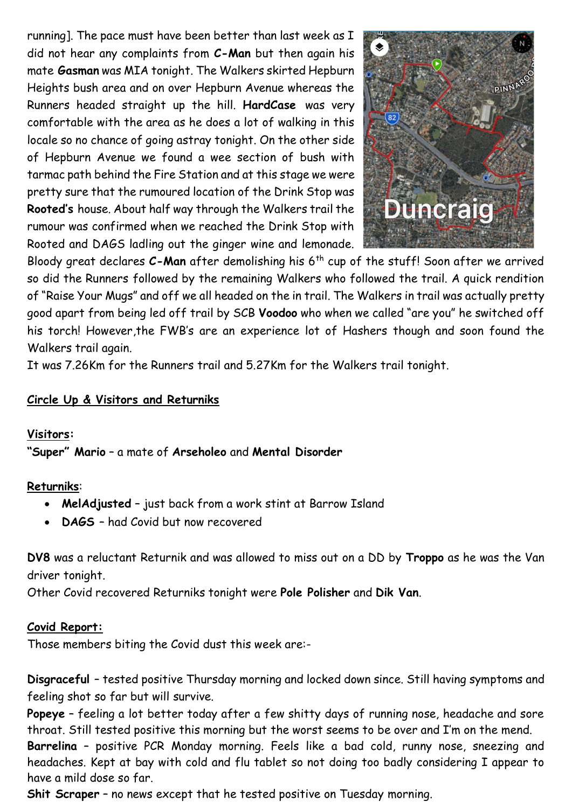running]. The pace must have been better than last week as I did not hear any complaints from **C-Man** but then again his mate **Gasman** was MIA tonight. The Walkers skirted Hepburn Heights bush area and on over Hepburn Avenue whereas the Runners headed straight up the hill. **HardCase** was very comfortable with the area as he does a lot of walking in this locale so no chance of going astray tonight. On the other side of Hepburn Avenue we found a wee section of bush with tarmac path behind the Fire Station and at this stage we were pretty sure that the rumoured location of the Drink Stop was **Rooted's** house. About half way through the Walkers trail the rumour was confirmed when we reached the Drink Stop with Rooted and DAGS ladling out the ginger wine and lemonade.



Bloody great declares **C-Man** after demolishing his 6th cup of the stuff! Soon after we arrived so did the Runners followed by the remaining Walkers who followed the trail. A quick rendition of "Raise Your Mugs" and off we all headed on the in trail. The Walkers in trail was actually pretty good apart from being led off trail by SCB **Voodoo** who when we called "are you" he switched off his torch! However,the FWB's are an experience lot of Hashers though and soon found the Walkers trail again.

It was 7.26Km for the Runners trail and 5.27Km for the Walkers trail tonight.

# **Circle Up & Visitors and Returniks**

# **Visitors:**

**"Super" Mario** – a mate of **Arseholeo** and **Mental Disorder**

# **Returniks**:

- **MelAdjusted** just back from a work stint at Barrow Island
- **DAGS**  had Covid but now recovered

**DV8** was a reluctant Returnik and was allowed to miss out on a DD by **Troppo** as he was the Van driver tonight.

Other Covid recovered Returniks tonight were **Pole Polisher** and **Dik Van**.

# **Covid Report:**

Those members biting the Covid dust this week are:-

**Disgraceful** – tested positive Thursday morning and locked down since. Still having symptoms and feeling shot so far but will survive.

**Popeye** – feeling a lot better today after a few shitty days of running nose, headache and sore throat. Still tested positive this morning but the worst seems to be over and I'm on the mend.

**Barrelina** – positive PCR Monday morning. Feels like a bad cold, runny nose, sneezing and headaches. Kept at bay with cold and flu tablet so not doing too badly considering I appear to have a mild dose so far.

**Shit Scraper** – no news except that he tested positive on Tuesday morning.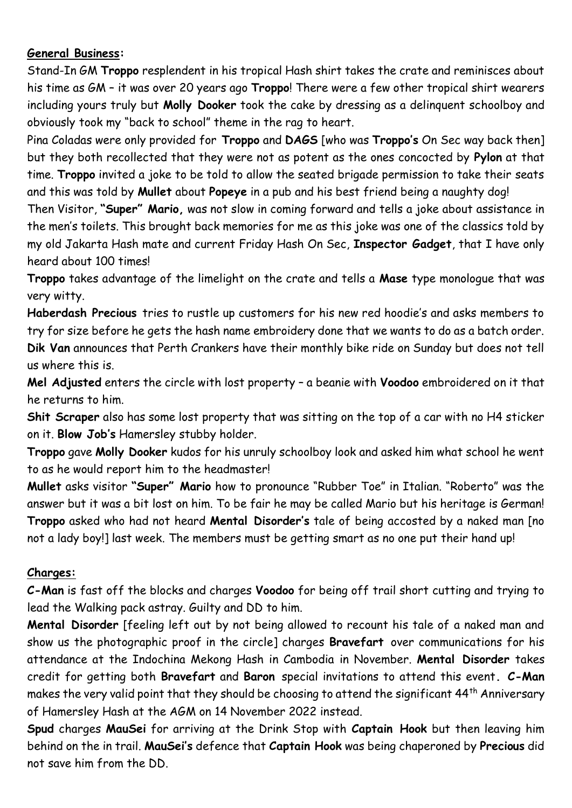# **General Business:**

Stand-In GM **Troppo** resplendent in his tropical Hash shirt takes the crate and reminisces about his time as GM – it was over 20 years ago **Troppo**! There were a few other tropical shirt wearers including yours truly but **Molly Dooker** took the cake by dressing as a delinquent schoolboy and obviously took my "back to school" theme in the rag to heart.

Pina Coladas were only provided for **Troppo** and **DAGS** [who was **Troppo's** On Sec way back then] but they both recollected that they were not as potent as the ones concocted by **Pylon** at that time. **Troppo** invited a joke to be told to allow the seated brigade permission to take their seats and this was told by **Mullet** about **Popeye** in a pub and his best friend being a naughty dog!

Then Visitor, **"Super" Mario,** was not slow in coming forward and tells a joke about assistance in the men's toilets. This brought back memories for me as this joke was one of the classics told by my old Jakarta Hash mate and current Friday Hash On Sec, **Inspector Gadget**, that I have only heard about 100 times!

**Troppo** takes advantage of the limelight on the crate and tells a **Mase** type monologue that was very witty.

**Haberdash Precious** tries to rustle up customers for his new red hoodie's and asks members to try for size before he gets the hash name embroidery done that we wants to do as a batch order. **Dik Van** announces that Perth Crankers have their monthly bike ride on Sunday but does not tell us where this is.

**Mel Adjusted** enters the circle with lost property – a beanie with **Voodoo** embroidered on it that he returns to him.

**Shit Scraper** also has some lost property that was sitting on the top of a car with no H4 sticker on it. **Blow Job's** Hamersley stubby holder.

**Troppo** gave **Molly Dooker** kudos for his unruly schoolboy look and asked him what school he went to as he would report him to the headmaster!

**Mullet** asks visitor **"Super" Mario** how to pronounce "Rubber Toe" in Italian. "Roberto" was the answer but it was a bit lost on him. To be fair he may be called Mario but his heritage is German! **Troppo** asked who had not heard **Mental Disorder's** tale of being accosted by a naked man [no not a lady boy!] last week. The members must be getting smart as no one put their hand up!

# **Charges:**

**C-Man** is fast off the blocks and charges **Voodoo** for being off trail short cutting and trying to lead the Walking pack astray. Guilty and DD to him.

**Mental Disorder** [feeling left out by not being allowed to recount his tale of a naked man and show us the photographic proof in the circle] charges **Bravefart** over communications for his attendance at the Indochina Mekong Hash in Cambodia in November. **Mental Disorder** takes credit for getting both **Bravefart** and **Baron** special invitations to attend this event**. C-Man** makes the very valid point that they should be choosing to attend the significant 44<sup>th</sup> Anniversary of Hamersley Hash at the AGM on 14 November 2022 instead.

**Spud** charges **MauSei** for arriving at the Drink Stop with **Captain Hook** but then leaving him behind on the in trail. **MauSei's** defence that **Captain Hook** was being chaperoned by **Precious** did not save him from the DD.